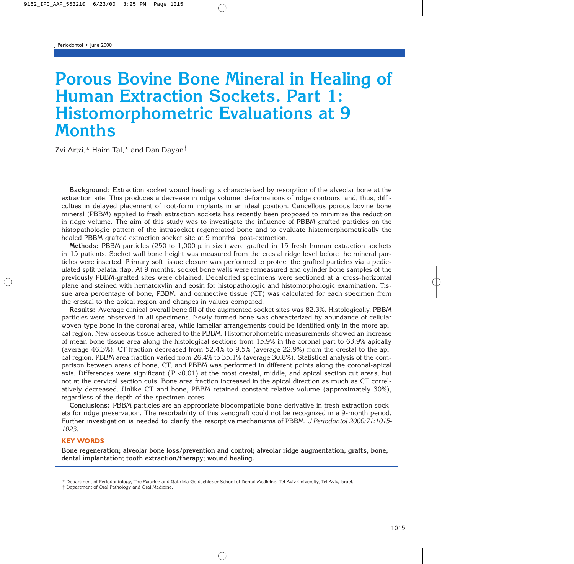# **Porous Bovine Bone Mineral in Healing of Human Extraction Sockets. Part 1: Histomorphometric Evaluations at 9 Months**

Zvi Artzi,\* Haim Tal,\* and Dan Dayan†

**Background:** Extraction socket wound healing is characterized by resorption of the alveolar bone at the extraction site. This produces a decrease in ridge volume, deformations of ridge contours, and, thus, difficulties in delayed placement of root-form implants in an ideal position. Cancellous porous bovine bone mineral (PBBM) applied to fresh extraction sockets has recently been proposed to minimize the reduction in ridge volume. The aim of this study was to investigate the influence of PBBM grafted particles on the histopathologic pattern of the intrasocket regenerated bone and to evaluate histomorphometrically the healed PBBM grafted extraction socket site at 9 months' post-extraction.

**Methods:** PBBM particles (250 to 1,000 µ in size) were grafted in 15 fresh human extraction sockets in 15 patients. Socket wall bone height was measured from the crestal ridge level before the mineral particles were inserted. Primary soft tissue closure was performed to protect the grafted particles via a pediculated split palatal flap. At 9 months, socket bone walls were remeasured and cylinder bone samples of the previously PBBM-grafted sites were obtained. Decalcified specimens were sectioned at a cross-horizontal plane and stained with hematoxylin and eosin for histopathologic and histomorphologic examination. Tissue area percentage of bone, PBBM, and connective tissue (CT) was calculated for each specimen from the crestal to the apical region and changes in values compared.

**Results:** Average clinical overall bone fill of the augmented socket sites was 82.3%. Histologically, PBBM particles were observed in all specimens. Newly formed bone was characterized by abundance of cellular woven-type bone in the coronal area, while lamellar arrangements could be identified only in the more apical region. New osseous tissue adhered to the PBBM. Histomorphometric measurements showed an increase of mean bone tissue area along the histological sections from 15.9% in the coronal part to 63.9% apically (average 46.3%). CT fraction decreased from 52.4% to 9.5% (average 22.9%) from the crestal to the apical region. PBBM area fraction varied from 26.4% to 35.1% (average 30.8%). Statistical analysis of the comparison between areas of bone, CT, and PBBM was performed in different points along the coronal-apical axis. Differences were significant ( $P < 0.01$ ) at the most crestal, middle, and apical section cut areas, but not at the cervical section cuts. Bone area fraction increased in the apical direction as much as CT correlatively decreased. Unlike CT and bone, PBBM retained constant relative volume (approximately 30%), regardless of the depth of the specimen cores.

**Conclusions:** PBBM particles are an appropriate biocompatible bone derivative in fresh extraction sockets for ridge preservation. The resorbability of this xenograft could not be recognized in a 9-month period. Further investigation is needed to clarify the resorptive mechanisms of PBBM. *J Periodontol 2000;71:1015- 1023.*

## **KEY WORDS**

**Bone regeneration; alveolar bone loss/prevention and control; alveolar ridge augmentation; grafts, bone; dental implantation; tooth extraction/therapy; wound healing.**

<sup>\*</sup> Department of Periodontology, The Maurice and Gabriela Goldschleger School of Dental Medicine, Tel Aviv University, Tel Aviv, Israel.

<sup>†</sup> Department of Oral Pathology and Oral Medicine.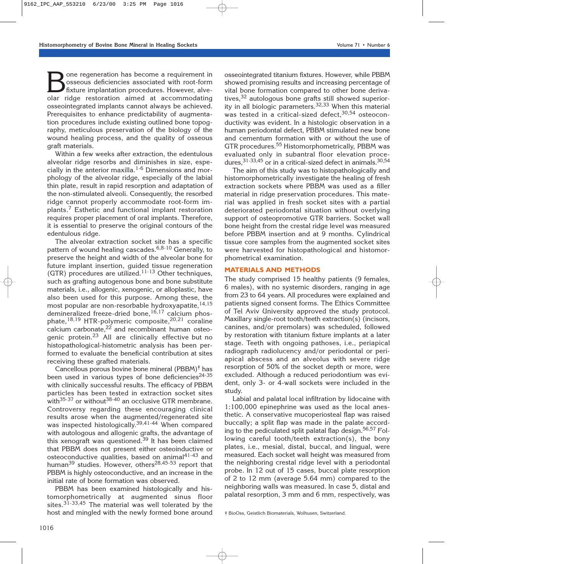**B**one regeneration has become a requirement in<br>
sosseous deficiencies associated with root-form<br>
fixture implantation procedures. However, alve-<br>
olar ridge restoration aimed at accommodating osseous deficiencies associated with root-form fixture implantation procedures. However, alveolar ridge restoration aimed at accommodating osseointegrated implants cannot always be achieved. Prerequisites to enhance predictability of augmentation procedures include existing outlined bone topography, meticulous preservation of the biology of the wound healing process, and the quality of osseous graft materials.

Within a few weeks after extraction, the edentulous alveolar ridge resorbs and diminishes in size, especially in the anterior maxilla.<sup>1-6</sup> Dimensions and morphology of the alveolar ridge, especially of the labial thin plate, result in rapid resorption and adaptation of the non-stimulated alveoli. Consequently, the resorbed ridge cannot properly accommodate root-form implants.<sup>7</sup> Esthetic and functional implant restoration requires proper placement of oral implants. Therefore, it is essential to preserve the original contours of the edentulous ridge.

The alveolar extraction socket site has a specific pattern of wound healing cascades.<sup>6,8-10</sup> Generally, to preserve the height and width of the alveolar bone for future implant insertion, guided tissue regeneration (GTR) procedures are utilized.<sup>11-13</sup> Other techniques, such as grafting autogenous bone and bone substitute materials, i.e., allogenic, xenogenic, or alloplastic, have also been used for this purpose. Among these, the most popular are non-resorbable hydroxyapatite,  $14,15$ demineralized freeze-dried bone,  $16,17$  calcium phosphate,<sup>18,19</sup> HTR-polymeric composite,<sup>20,21</sup> coraline calcium carbonate,<sup>22</sup> and recombinant human osteogenic protein.<sup>23</sup> All are clinically effective but no histopathological-histometric analysis has been performed to evaluate the beneficial contribution at sites receiving these grafted materials.

Cancellous porous bovine bone mineral (PBBM)‡ has been used in various types of bone deficiencies<sup>24-35</sup> with clinically successful results. The efficacy of PBBM particles has been tested in extraction socket sites with $35-37$  or without  $38-40$  an occlusive GTR membrane. Controversy regarding these encouraging clinical results arose when the augmented/regenerated site was inspected histologically.<sup>39,41-44</sup> When compared with autologous and allogenic grafts, the advantage of this xenograft was questioned.<sup>39</sup> It has been claimed that PBBM does not present either osteoinductive or osteoconductive qualities, based on animal $4^{1-43}$  and human<sup>39</sup> studies. However, others<sup>28,45-53</sup> report that PBBM is highly osteoconductive, and an increase in the initial rate of bone formation was observed.

PBBM has been examined histologically and histomorphometrically at augmented sinus floor sites.<sup>31-33,45</sup> The material was well tolerated by the host and mingled with the newly formed bone around

osseointegrated titanium fixtures. However, while PBBM showed promising results and increasing percentage of vital bone formation compared to other bone derivatives,  $32$  autologous bone grafts still showed superiority in all biologic parameters. $32,33$  When this material was tested in a critical-sized defect.<sup>30,54</sup> osteoconductivity was evident. In a histologic observation in a human periodontal defect, PBBM stimulated new bone and cementum formation with or without the use of GTR procedures.<sup>55</sup> Histomorphometrically, PBBM was evaluated only in subantral floor elevation procedures,  $31-33,45$  or in a critical-sized defect in animals.  $30,54$ 

The aim of this study was to histopathologically and histomorphometrically investigate the healing of fresh extraction sockets where PBBM was used as a filler material in ridge preservation procedures. This material was applied in fresh socket sites with a partial deteriorated periodontal situation without overlying support of osteopromotive GTR barriers. Socket wall bone height from the crestal ridge level was measured before PBBM insertion and at 9 months. Cylindrical tissue core samples from the augmented socket sites were harvested for histopathological and histomorphometrical examination.

# **MATERIALS AND METHODS**

The study comprised 15 healthy patients (9 females, 6 males), with no systemic disorders, ranging in age from 23 to 64 years. All procedures were explained and patients signed consent forms. The Ethics Committee of Tel Aviv University approved the study protocol. Maxillary single-root tooth/teeth extraction(s) (incisors, canines, and/or premolars) was scheduled, followed by restoration with titanium fixture implants at a later stage. Teeth with ongoing pathoses, i.e., periapical radiograph radiolucency and/or periodontal or periapical abscess and an alveolus with severe ridge resorption of 50% of the socket depth or more, were excluded. Although a reduced periodontium was evident, only 3- or 4-wall sockets were included in the study.

Labial and palatal local infiltration by lidocaine with 1:100,000 epinephrine was used as the local anesthetic. A conservative mucoperiosteal flap was raised buccally; a split flap was made in the palate according to the pediculated split palatal flap design.<sup>56,57</sup> Following careful tooth/teeth extraction(s), the bony plates, i.e., mesial, distal, buccal, and lingual, were measured. Each socket wall height was measured from the neighboring crestal ridge level with a periodontal probe. In 12 out of 15 cases, buccal plate resorption of 2 to 12 mm (average 5.64 mm) compared to the neighboring walls was measured. In case 5, distal and palatal resorption, 3 mm and 6 mm, respectively, was

‡ BioOss, Geistlich Biomaterials, Wolhusen, Switzerland.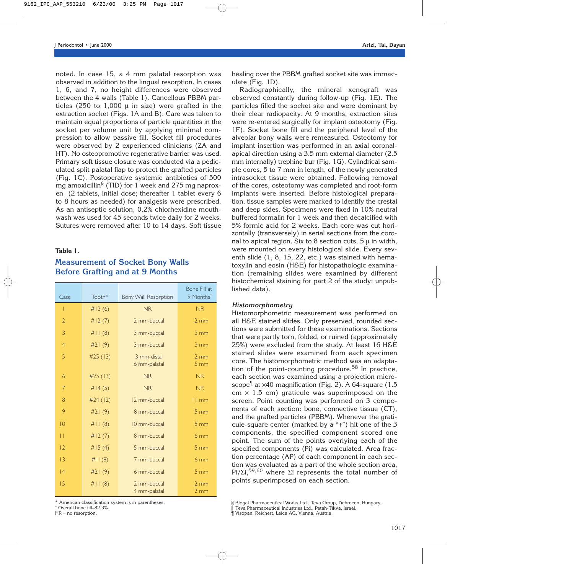noted. In case 15, a 4 mm palatal resorption was observed in addition to the lingual resorption. In cases 1, 6, and 7, no height differences were observed between the 4 walls (Table 1). Cancellous PBBM particles (250 to  $1,000 \mu$  in size) were grafted in the extraction socket (Figs. 1A and B). Care was taken to maintain equal proportions of particle quantities in the socket per volume unit by applying minimal compression to allow passive fill. Socket fill procedures were observed by 2 experienced clinicians (ZA and HT). No osteopromotive regenerative barrier was used. Primary soft tissue closure was conducted via a pediculated split palatal flap to protect the grafted particles (Fig. 1C). Postoperative systemic antibiotics of 500 mg amoxicillin§ (TID) for 1 week and 275 mg naproxen<sup> $\parallel$ </sup> (2 tablets, initial dose; thereafter 1 tablet every 6 to 8 hours as needed) for analgesis were prescribed. As an antiseptic solution, 0.2% chlorhexidine mouthwash was used for 45 seconds twice daily for 2 weeks. Sutures were removed after 10 to 14 days. Soft tissue

## **Table 1.**

# **Measurement of Socket Bony Walls Before Grafting and at 9 Months**

| Case           | Tooth*   | <b>Bony Wall Resorption</b> | Bone Fill at<br>9 Months <sup>t</sup> |  |
|----------------|----------|-----------------------------|---------------------------------------|--|
| I              | #13(6)   | <b>NR</b>                   | <b>NR</b>                             |  |
| $\overline{2}$ | #12(7)   | 2 mm-buccal                 | $2 \, \text{mm}$                      |  |
| 3              | #11(8)   | 3 mm-buccal                 | $3 \, \text{mm}$                      |  |
| $\overline{4}$ | #21 (9)  | 3 mm-buccal                 | $3 \, \text{mm}$                      |  |
| 5              | #25 (13) | 3 mm-distal<br>6 mm-palatal | $2 \text{ mm}$<br>5 <sub>mm</sub>     |  |
| 6              | #25 (13) | <b>NR</b>                   | <b>NR</b>                             |  |
| 7              | #14(5)   | <b>NR</b>                   | <b>NR</b>                             |  |
| 8              | #24 (12) | 12 mm-buccal                | $11 \text{ mm}$                       |  |
| 9              | #21 (9)  | 8 mm-buccal                 | $5 \, \text{mm}$                      |  |
| $ 0\rangle$    | #11(8)   | 10 mm-buccal                | $8 \text{ mm}$                        |  |
| П              | #12(7)   | 8 mm-buccal                 | 6 <sub>mm</sub>                       |  |
| 2              | #15(4)   | 5 mm-buccal                 | $5 \, \text{mm}$                      |  |
| 3              | #11(8)   | 7 mm-buccal                 | 6 mm                                  |  |
| 4              | #21(9)   | 6 mm-buccal                 | 5 mm                                  |  |
| 15             | #11(8)   | 2 mm-buccal<br>4 mm-palatal | 2 <sub>mm</sub><br>$2 \, \text{mm}$   |  |

\* American classification system is in parentheses.

† Overall bone fill–82.3%.

NR = no resorption.

healing over the PBBM grafted socket site was immaculate (Fig. 1D).

Radiographically, the mineral xenograft was observed constantly during follow-up (Fig. 1E). The particles filled the socket site and were dominant by their clear radiopacity. At 9 months, extraction sites were re-entered surgically for implant osteotomy (Fig. 1F). Socket bone fill and the peripheral level of the alveolar bony walls were remeasured. Osteotomy for implant insertion was performed in an axial coronalapical direction using a 3.5 mm external diameter (2.5 mm internally) trephine bur (Fig. 1G). Cylindrical sample cores, 5 to 7 mm in length, of the newly generated intrasocket tissue were obtained. Following removal of the cores, osteotomy was completed and root-form implants were inserted. Before histological preparation, tissue samples were marked to identify the crestal and deep sides. Specimens were fixed in 10% neutral buffered formalin for 1 week and then decalcified with 5% formic acid for 2 weeks. Each core was cut horizontally (transversely) in serial sections from the coronal to apical region. Six to 8 section cuts,  $5 \mu$  in width, were mounted on every histological slide. Every seventh slide (1, 8, 15, 22, etc.) was stained with hematoxylin and eosin (H&E) for histopathologic examination (remaining slides were examined by different histochemical staining for part 2 of the study; unpublished data).

# *Histomorphometry*

Histomorphometric measurement was performed on all H&E stained slides. Only preserved, rounded sections were submitted for these examinations. Sections that were partly torn, folded, or ruined (approximately 25%) were excluded from the study. At least 16 H&E stained slides were examined from each specimen core. The histomorphometric method was an adaptation of the point-counting procedure.<sup>58</sup> In practice, each section was examined using a projection microscope<sup> $\parallel$ </sup> at ×40 magnification (Fig. 2). A 64-square (1.5  $cm \times 1.5$  cm) graticule was superimposed on the screen. Point counting was performed on 3 components of each section: bone, connective tissue (CT), and the grafted particles (PBBM). Whenever the graticule-square center (marked by a "+") hit one of the 3 components, the specified component scored one point. The sum of the points overlying each of the specified components (Pi) was calculated. Area fraction percentage (AP) of each component in each section was evaluated as a part of the whole section area, Pi/Σi,59,60 where Σi represents the total number of points superimposed on each section.

<sup>§</sup> Biogal Pharmaceutical Works Ltd., Teva Group, Debrecen, Hungary.

<sup>1</sup> Teva Pharmaceutical Industries Ltd., Petah-Tikva, Israel.

<sup>¶</sup> Visopan, Reichert, Leica AG, Vienna, Austria.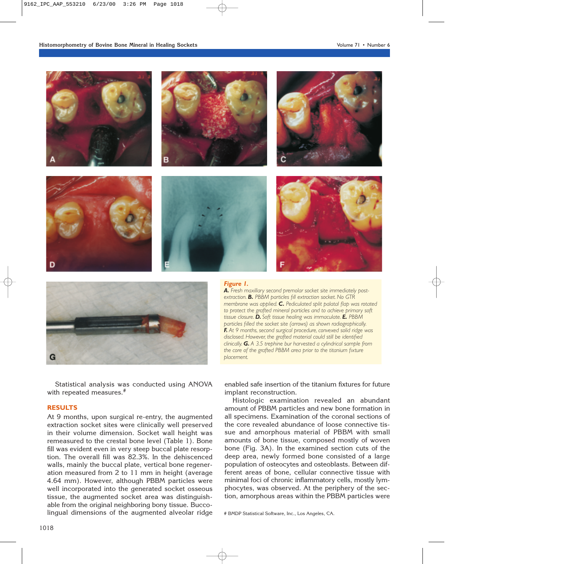



Statistical analysis was conducted using ANOVA with repeated measures.<sup>#</sup>

# **RESULTS**

At 9 months, upon surgical re-entry, the augmented extraction socket sites were clinically well preserved in their volume dimension. Socket wall height was remeasured to the crestal bone level (Table 1). Bone fill was evident even in very steep buccal plate resorption. The overall fill was 82.3%. In the dehiscenced walls, mainly the buccal plate, vertical bone regeneration measured from 2 to 11 mm in height (average 4.64 mm). However, although PBBM particles were well incorporated into the generated socket osseous tissue, the augmented socket area was distinguishable from the original neighboring bony tissue. Buccolingual dimensions of the augmented alveolar ridge

#### *Figure 1.*

*A. Fresh maxillary second premolar socket site immediately postextraction. B. PBBM particles fill extraction socket. No GTR membrane was applied. C. Pediculated split palatal flap was rotated to protect the grafted mineral particles and to achieve primary soft tissue closure. D. Soft tissue healing was immaculate. E. PBBM particles filled the socket site (arrows) as shown radiographically. F. At 9 months, second surgical procedure, convexed solid ridge was disclosed. However, the grafted material could still be identified clinically. G. A 3.5 trephine bur harvested a cylindrical sample from the core of the grafted PBBM area prior to the titanium fixture placement.*

enabled safe insertion of the titanium fixtures for future implant reconstruction.

Histologic examination revealed an abundant amount of PBBM particles and new bone formation in all specimens. Examination of the coronal sections of the core revealed abundance of loose connective tissue and amorphous material of PBBM with small amounts of bone tissue, composed mostly of woven bone (Fig. 3A). In the examined section cuts of the deep area, newly formed bone consisted of a large population of osteocytes and osteoblasts. Between different areas of bone, cellular connective tissue with minimal foci of chronic inflammatory cells, mostly lymphocytes, was observed. At the periphery of the section, amorphous areas within the PBBM particles were

# BMDP Statistical Software, Inc., Los Angeles, CA.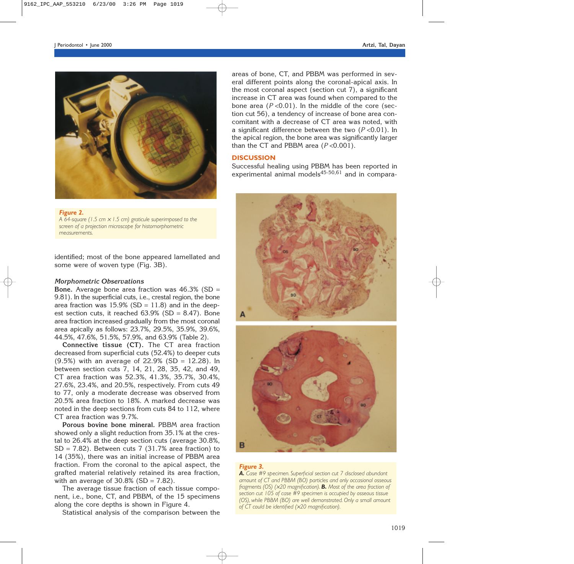

#### *Figure 2.*

*A 64-square (1.5 cm* <sup>×</sup> *1.5 cm) graticule superimposed to the screen of a projection microscope for histomorphometric measurements.*

identified; most of the bone appeared lamellated and some were of woven type (Fig. 3B).

#### *Morphometric Observations*

**Bone.** Average bone area fraction was 46.3% (SD = 9.81). In the superficial cuts, i.e., crestal region, the bone area fraction was  $15.9\%$  (SD = 11.8) and in the deepest section cuts, it reached  $63.9\%$  (SD = 8.47). Bone area fraction increased gradually from the most coronal area apically as follows: 23.7%, 29.5%, 35.9%, 39.6%, 44.5%, 47.6%, 51.5%, 57.9%, and 63.9% (Table 2).

**Connective tissue (CT).** The CT area fraction decreased from superficial cuts (52.4%) to deeper cuts (9.5%) with an average of 22.9% (SD = 12.28). In between section cuts 7, 14, 21, 28, 35, 42, and 49, CT area fraction was 52.3%, 41.3%, 35.7%, 30.4%, 27.6%, 23.4%, and 20.5%, respectively. From cuts 49 to 77, only a moderate decrease was observed from 20.5% area fraction to 18%. A marked decrease was noted in the deep sections from cuts 84 to 112, where CT area fraction was 9.7%.

**Porous bovine bone mineral.** PBBM area fraction showed only a slight reduction from 35.1% at the crestal to 26.4% at the deep section cuts (average 30.8%,  $SD = 7.82$ ). Between cuts 7 (31.7% area fraction) to 14 (35%), there was an initial increase of PBBM area fraction. From the coronal to the apical aspect, the grafted material relatively retained its area fraction, with an average of  $30.8\%$  (SD =  $7.82$ ).

The average tissue fraction of each tissue component, i.e., bone, CT, and PBBM, of the 15 specimens along the core depths is shown in Figure 4.

Statistical analysis of the comparison between the

areas of bone, CT, and PBBM was performed in several different points along the coronal-apical axis. In the most coronal aspect (section cut 7), a significant increase in CT area was found when compared to the bone area  $(P < 0.01)$ . In the middle of the core (section cut 56), a tendency of increase of bone area concomitant with a decrease of CT area was noted, with a significant difference between the two (*P* <0.01). In the apical region, the bone area was significantly larger than the CT and PBBM area (*P* <0.001).

# **DISCUSSION**

Successful healing using PBBM has been reported in experimental animal models $45-50,61$  and in compara-





#### *Figure 3.*

*A. Case #9 specimen. Superficial section cut 7 disclosed abundant amount of CT and PBBM (BO) particles and only occasional osseous fragments (OS) (*×*20 magnification). B. Most of the area fraction of section cut 105 of case #9 specimen is occupied by osseous tissue (OS), while PBBM (BO) are well demonstrated. Only a small amount of CT could be identified (*×*20 magnification).*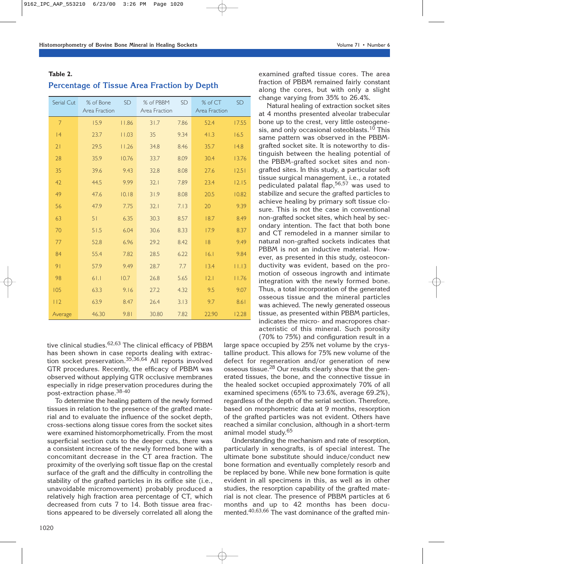# **Table 2.**

# **Percentage of Tissue Area Fraction by Depth**

| Serial Cut     | % of Bone<br>Area Fraction | <b>SD</b> | % of PBBM<br>Area Fraction | <b>SD</b> | % of CT<br>Area Fraction | <b>SD</b> |
|----------------|----------------------------|-----------|----------------------------|-----------|--------------------------|-----------|
| $\overline{7}$ | 15.9                       | 11.86     | 31.7                       | 7.86      | 52.4                     | 17.55     |
| 4              | 23.7                       | 11.03     | 35                         | 9.34      | 41.3                     | 16.5      |
| 21             | 29.5                       | 11.26     | 34.8                       | 8.46      | 35.7                     | 4.8       |
| 28             | 35.9                       | 10.76     | 33.7                       | 8.09      | 30.4                     | 13.76     |
| 35             | 39.6                       | 9.43      | 32.8                       | 8.08      | 27.6                     | 12.51     |
| 42             | 44.5                       | 9.99      | 32.1                       | 7.89      | 23.4                     | 12.15     |
| 49             | 47.6                       | 10.18     | 31.9                       | 8.08      | 20.5                     | 10.82     |
| 56             | 47.9                       | 7.75      | 32.1                       | 7.13      | 20                       | 9.39      |
| 63             | 51                         | 6.35      | 30.3                       | 8.57      | 18.7                     | 8.49      |
| 70             | 51.5                       | 6.04      | 30.6                       | 8.33      | 17.9                     | 8.37      |
| 77             | 52.8                       | 6.96      | 29.2                       | 8.42      | 8                        | 9.49      |
| 84             | 55.4                       | 7.82      | 28.5                       | 6.22      | 6.1                      | 9.84      |
| 9 <sub>1</sub> | 57.9                       | 9.49      | 28.7                       | 7.7       | 13.4                     | 11.13     |
| 98             | 61.1                       | 10.7      | 26.8                       | 5.65      | 2.1                      | 11.76     |
| 105            | 63.3                       | 9.16      | 27.2                       | 4.32      | 9.5                      | 9.07      |
| 112            | 63.9                       | 8.47      | 26.4                       | 3.13      | 9.7                      | 8.61      |
| Average        | 46.30                      | 9.81      | 30.80                      | 7.82      | 22.90                    | 12.28     |

tive clinical studies.<sup>62,63</sup> The clinical efficacy of PBBM has been shown in case reports dealing with extraction socket preservation.35,36,64 All reports involved GTR procedures. Recently, the efficacy of PBBM was observed without applying GTR occlusive membranes especially in ridge preservation procedures during the post-extraction phase.38-40

To determine the healing pattern of the newly formed tissues in relation to the presence of the grafted material and to evaluate the influence of the socket depth, cross-sections along tissue cores from the socket sites were examined histomorphometrically. From the most superficial section cuts to the deeper cuts, there was a consistent increase of the newly formed bone with a concomitant decrease in the CT area fraction. The proximity of the overlying soft tissue flap on the crestal surface of the graft and the difficulty in controlling the stability of the grafted particles in its orifice site (i.e., unavoidable micromovement) probably produced a relatively high fraction area percentage of CT, which decreased from cuts 7 to 14. Both tissue area fractions appeared to be diversely correlated all along the examined grafted tissue cores. The area fraction of PBBM remained fairly constant along the cores, but with only a slight change varying from 35% to 26.4%.

Natural healing of extraction socket sites at 4 months presented alveolar trabecular bone up to the crest, very little osteogenesis, and only occasional osteoblasts.<sup>10</sup> This same pattern was observed in the PBBMgrafted socket site. It is noteworthy to distinguish between the healing potential of the PBBM-grafted socket sites and nongrafted sites. In this study, a particular soft tissue surgical management, i.e., a rotated pediculated palatal flap,<sup>56,57</sup> was used to stabilize and secure the grafted particles to achieve healing by primary soft tissue closure. This is not the case in conventional non-grafted socket sites, which heal by secondary intention. The fact that both bone and CT remodeled in a manner similar to natural non-grafted sockets indicates that PBBM is not an inductive material. However, as presented in this study, osteoconductivity was evident, based on the promotion of osseous ingrowth and intimate integration with the newly formed bone. Thus, a total incorporation of the generated osseous tissue and the mineral particles was achieved. The newly generated osseous tissue, as presented within PBBM particles, indicates the micro- and macropores characteristic of this mineral. Such porosity (70% to 75%) and configuration result in a

large space occupied by 25% net volume by the crystalline product. This allows for 75% new volume of the defect for regeneration and/or generation of new osseous tissue.<sup>28</sup> Our results clearly show that the generated tissues, the bone, and the connective tissue in the healed socket occupied approximately 70% of all examined specimens (65% to 73.6%, average 69.2%), regardless of the depth of the serial section. Therefore, based on morphometric data at 9 months, resorption of the grafted particles was not evident. Others have reached a similar conclusion, although in a short-term animal model study.65

Understanding the mechanism and rate of resorption, particularly in xenografts, is of special interest. The ultimate bone substitute should induce/conduct new bone formation and eventually completely resorb and be replaced by bone. While new bone formation is quite evident in all specimens in this, as well as in other studies, the resorption capability of the grafted material is not clear. The presence of PBBM particles at 6 months and up to 42 months has been documented.40,63,66 The vast dominance of the grafted min-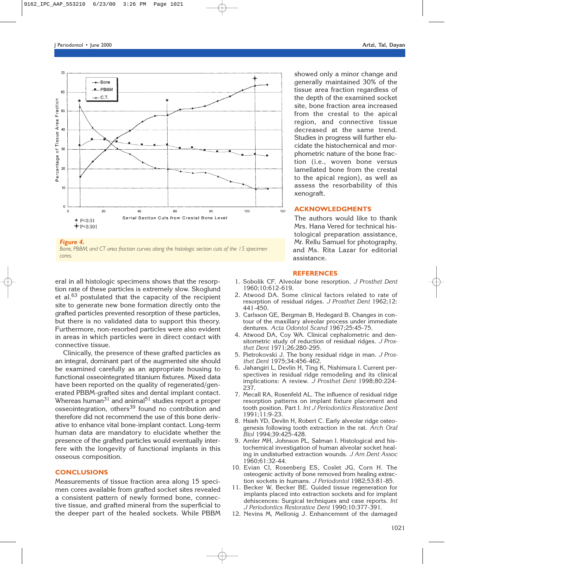

*Bone, PBBM, and CT area fraction curves along the histologic section cuts of the 15 specimen cores.*

eral in all histologic specimens shows that the resorption rate of these particles is extremely slow. Skoglund et al.<sup>63</sup> postulated that the capacity of the recipient site to generate new bone formation directly onto the grafted particles prevented resorption of these particles, but there is no validated data to support this theory. Furthermore, non-resorbed particles were also evident in areas in which particles were in direct contact with connective tissue.

Clinically, the presence of these grafted particles as an integral, dominant part of the augmented site should be examined carefully as an appropriate housing to functional osseointegrated titanium fixtures. Mixed data have been reported on the quality of regenerated/generated PBBM-grafted sites and dental implant contact. Whereas human $31$  and animal $51$  studies report a proper osseointegration, others<sup>39</sup> found no contribution and therefore did not recommend the use of this bone derivative to enhance vital bone-implant contact. Long-term human data are mandatory to elucidate whether the presence of the grafted particles would eventually interfere with the longevity of functional implants in this osseous composition.

# **CONCLUSIONS**

Measurements of tissue fraction area along 15 specimen cores available from grafted socket sites revealed a consistent pattern of newly formed bone, connective tissue, and grafted mineral from the superficial to the deeper part of the healed sockets. While PBBM showed only a minor change and generally maintained 30% of the tissue area fraction regardless of the depth of the examined socket site, bone fraction area increased from the crestal to the apical region, and connective tissue decreased at the same trend. Studies in progress will further elucidate the histochemical and morphometric nature of the bone fraction (i.e., woven bone versus lamellated bone from the crestal to the apical region), as well as assess the resorbability of this xenograft.

# **ACKNOWLEDGMENTS**

The authors would like to thank Mrs. Hana Vered for technical histological preparation assistance, Mr. Rellu Samuel for photography, and Ms. Rita Lazar for editorial assistance.

#### **REFERENCES**

- 1. Sobolik CF. Alveolar bone resorption. *J Prosthet Dent* 1960;10:612-619.
- 2. Atwood DA. Some clinical factors related to rate of resorption of residual ridges. *J Prosthet Dent* 1962;12: 441-450.
- 3. Carlsson GE, Bergman B, Hedegard B. Changes in contour of the maxillary alveolar process under immediate dentures. *Acta Odontol Scand* 1967;25:45-75.
- 4. Atwood DA, Coy WA. Clinical cephalometric and densitometric study of reduction of residual ridges. *J Prosthet Dent* 1971;26:280-295.
- 5. Pietrokovski J. The bony residual ridge in man. *J Prosthet Dent* 1975;34:456-462.
- 6. Jahangiri L, Devlin H, Ting K, Nishimura I. Current perspectives in residual ridge remodeling and its clinical implications: A review. *J Prosthet Dent* 1998;80:224- 237.
- 7. Mecall RA, Rosenfeld AL. The influence of residual ridge resorption patterns on implant fixture placement and tooth position. Part I. *Int J Periodontics Restorative Dent* 1991;11:9-23.
- 8. Hsieh YD, Devlin H, Robert C. Early alveolar ridge osteogenesis following tooth extraction in the rat. *Arch Oral Biol* 1994;39:425-428.
- 9. Amler MH, Johnson PL, Salman I. Histological and histochemical investigation of human alveolar socket healing in undisturbed extraction wounds. *J Am Dent Assoc* 1960;61:32-44.
- 10. Evian CI, Rosenberg ES, Coslet JG, Corn H. The osteogenic activity of bone removed from healing extraction sockets in humans. *J Periodontol* 1982;53:81-85.
- 11. Becker W, Becker BE. Guided tissue regeneration for implants placed into extraction sockets and for implant dehiscences: Surgical techniques and case reports. *Int J Periodontics Restorative Dent* 1990;10:377-391.
- 12. Nevins M, Mellonig J. Enhancement of the damaged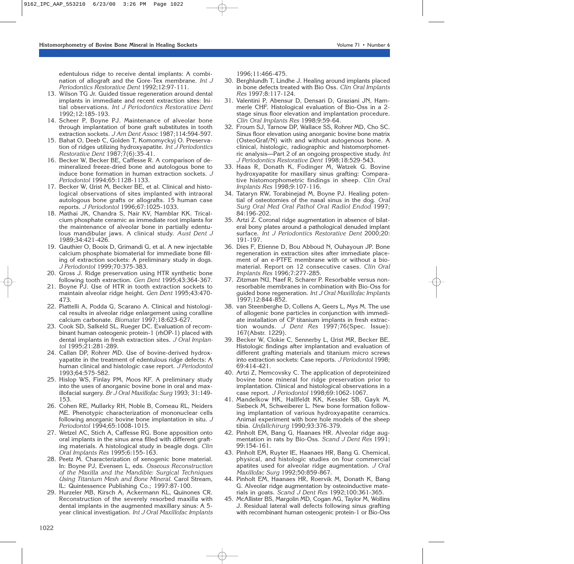edentulous ridge to receive dental implants: A combination of allograft and the Gore-Tex membrane. *Int J Periodontics Restorative Dent* 1992;12:97-111.

- 13. Wilson TG Jr. Guided tissue regeneration around dental implants in immediate and recent extraction sites: Initial observations. *Int J Periodontics Restorative Dent* 1992;12:185-193.
- 14. Scheer P, Boyne PJ. Maintenance of alveolar bone through implantation of bone graft substitutes in tooth extraction sockets. *J Am Dent Assoc* 1987;114:594-597.
- 15. Bahat O, Deeb C, Golden T, Komomyckyj O. Preservation of ridges utilizing hydroxyapatite. *Int J Periodontics Restorative Dent* 1987;7(6):35-41.
- 16. Becker W, Becker BE, Caffesse R. A comparison of demineralized freeze-dried bone and autologous bone to induce bone formation in human extraction sockets. *J Periodontol* 1994;65:1128-1133.
- 17. Becker W, Urist M, Becker BE, et al. Clinical and histological observations of sites implanted with intraoral autologous bone grafts or allografts. 15 human case reports. *J Periodontol* 1996;67:1025-1033.
- 18. Mathai JK, Chandra S, Nair KV, Namblar KK. Tricalcium phosphate ceramic as immediate root implants for the maintenance of alveolar bone in partially edentulous mandibular jaws. A clinical study. *Aust Dent J* 1989;34:421-426.
- 19. Gauthier O, Booix D, Grimandi G, et al. A new injectable calcium phosphate biomaterial for immediate bone filling of extraction sockets: A preliminary study in dogs. *J Periodontol* 1999;70:375-383.
- 20. Gross J. Ridge preservation using HTR synthetic bone following tooth extraction. *Gen Dent* 1995;43:364-367.
- 21. Boyne PJ. Use of HTR in tooth extraction sockets to maintain alveolar ridge height. *Gen Dent* 1995;43:470- 473.
- 22. Piattelli A, Podda G, Scarano A. Clinical and histological results in alveolar ridge enlargement using coralline calcium carbonate. *Biomater* 1997;18:623-627.
- 23. Cook SD, Salkeld SL, Rueger DC. Evaluation of recombinant human osteogenic protein-1 (rhOP-1) placed with dental implants in fresh extraction sites. *J Oral Implantol* 1995;21:281-289.
- 24. Callan DP, Rohrer MD. Use of bovine-derived hydroxyapatite in the treatment of edentulous ridge defects: A human clinical and histologic case report. *J Periodontol* 1993;64:575-582.
- 25. Hislop WS, Finlay PM, Moos KF. A preliminary study into the uses of anorganic bovine bone in oral and maxillofacial surgery. *Br J Oral Maxillofac Surg* 1993; 31:149- 153.
- 26. Cohen RE, Mullarky RH, Noble B, Comeau RL, Neiders ME. Phenotypic characterization of mononuclear cells following anorganic bovine bone implantation in situ. *J Periodontol* 1994;65:1008-1015.
- 27. Wetzel AC, Stich A, Caffesse RG. Bone apposition onto oral implants in the sinus area filled with different grafting materials. A histological study in beagle dogs. *Clin Oral Implants Res* 1995;6:155-163.
- 28. Peetz M. Characterization of xenogenic bone material. In: Boyne PJ, Evensen L, eds. *Osseous Reconstruction of the Maxilla and the Mandible: Surgical Techniques Using Titanium Mesh and Bone Mineral.* Carol Stream, IL: Quintessence Publishing Co.; 1997:87-100.
- 29. Hurzeler MB, Kirsch A, Ackermann KL, Quinones CR. Reconstruction of the severely resorbed maxilla with dental implants in the augmented maxillary sinus: A 5 year clinical investigation. *Int J Oral Maxillofac Implants*

1996;11:466-475.

- 30. Berghlundh T, Lindhe J. Healing around implants placed in bone defects treated with Bio Oss. *Clin Oral Implants Res* 1997;8:117-124.
- 31. Valentini P, Abensur D, Densari D, Graziani JN, Hammerle CHF. Histological evaluation of Bio-Oss in a 2 stage sinus floor elevation and implantation procedure. *Clin Oral Implants Res* 1998;9:59-64.
- 32. Froum SJ, Tarnow DP, Wallace SS, Rohrer MD, Cho SC. Sinus floor elevation using anorganic bovine bone matrix (OsteoGraf/N) with and without autogenous bone. A clinical, histologic, radiographic and histomorphometric analysis—Part 2 of an ongoing prospective study. *Int J Periodontics Restorative Dent* 1998;18:529-543.
- 33. Haas R, Donath K, Fodinger M, Watzek G. Bovine hydroxyapatite for maxillary sinus grafting: Comparative histomorphometric findings in sheep. *Clin Oral Implants Res* 1998;9:107-116.
- 34. Tataryn RW, Torabinejad M, Boyne PJ. Healing potential of osteotomies of the nasal sinus in the dog. *Oral Surg Oral Med Oral Pathol Oral Radiol Endod* 1997; 84:196-202.
- 35. Artzi Z. Coronal ridge augmentation in absence of bilateral bony plates around a pathological denuded implant surface. *Int J Periodontics Restorative Dent* 2000;20: 191-197.
- 36. Dies F, Etienne D, Bou Abboud N, Ouhayoun JP. Bone regeneration in extraction sites after immediate placement of an e-PTFE membrane with or without a biomaterial. Report on 12 consecutive cases. *Clin Oral Implants Res* 1996;7:277-285.
- 37. Zitzman NU, Naef R, Scharer P. Resorbable versus nonresorbable membranes in combination with Bio-Oss for guided bone regeneration. *Int J Oral Maxillofac Implants* 1997;12:844-852.
- 38. van Steenberghe D, Collens A, Geers L, Mys M. The use of allogenic bone particles in conjunction with immediate installation of CP titanium implants in fresh extraction wounds. *J Dent Res* 1997;76(Spec. Issue): 167(Abstr. 1229).
- 39. Becker W, Clokie C, Sennerby L, Urist MR, Becker BE. Histologic findings after implantation and evaluation of different grafting materials and titanium micro screws into extraction sockets: Case reports. *J Periodontol* 1998; 69:414-421.
- 40. Artzi Z, Nemcovsky C. The application of deproteinized bovine bone mineral for ridge preservation prior to implantation. Clinical and histological observations in a case report. *J Periodontol* 1998;69:1062-1067.
- 41. Mandelkow HK, Hallfeldt KK, Kessler SB, Gayk M, Siebeck M, Schweiberer L. New bone formation following implantation of various hydroxyapatite ceramics. Animal experiment with bore hole models of the sheep tibia. *Unfallchirurg* 1990;93:376-379.
- 42. Pinholt EM, Bang G, Haanaes HR. Alveolar ridge augmentation in rats by Bio-Oss. *Scand J Dent Res* 1991; 99:154-161.
- 43. Pinholt EM, Ruyter IE, Haanaes HR, Bang G. Chemical, physical, and histologic studies on four commercial apatites used for alveolar ridge augmentation. *J Oral Maxillofac Surg* 1992;50:859-867.
- 44. Pinholt EM, Haanaes HR, Roervik M, Donath K, Bang G. Alveolar ridge augmentation by osteoinductive materials in goats. *Scand J Dent Res* 1992;100:361-365.
- 45. McAllister BS, Margolin MD, Cogan AG, Taylor M, Wollins J. Residual lateral wall defects following sinus grafting with recombinant human osteogenic protein-1 or Bio-Oss